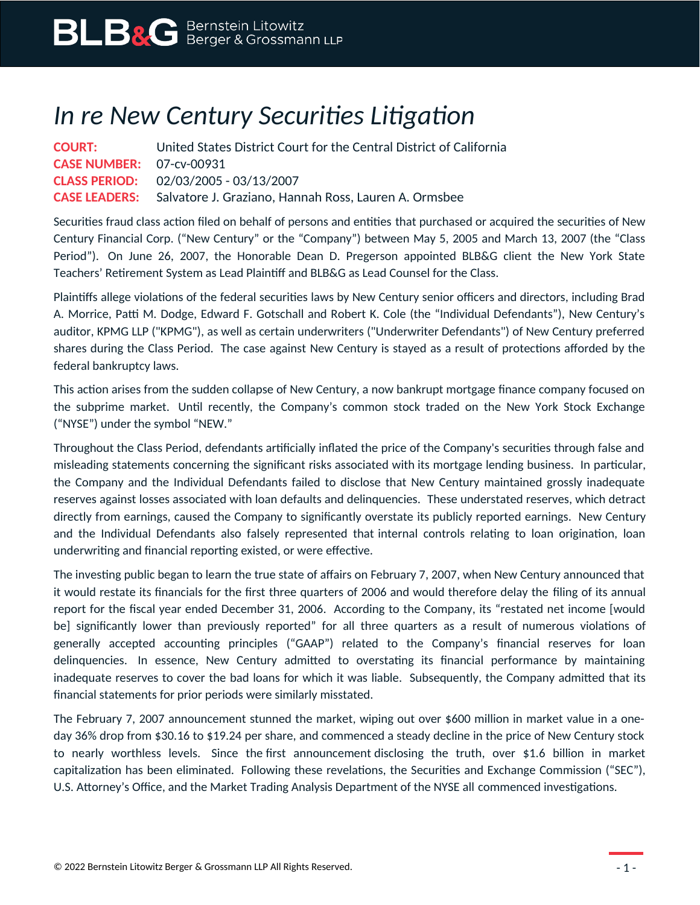## *In re New Century Securities Litigation*

| <b>COURT:</b>                   | United States District Court for the Central District of California        |
|---------------------------------|----------------------------------------------------------------------------|
| <b>CASE NUMBER: 07-cv-00931</b> |                                                                            |
|                                 | <b>CLASS PERIOD:</b> 02/03/2005 - 03/13/2007                               |
|                                 | <b>CASE LEADERS:</b> Salvatore J. Graziano, Hannah Ross, Lauren A. Ormsbee |

Securities fraud class action filed on behalf of persons and entities that purchased or acquired the securities of New Century Financial Corp. ("New Century" or the "Company") between May 5, 2005 and March 13, 2007 (the "Class Period"). On June 26, 2007, the Honorable Dean D. Pregerson appointed BLB&G client the New York State Teachers' Retirement System as Lead Plaintiff and BLB&G as Lead Counsel for the Class.

Plaintiffs allege violations of the federal securities laws by New Century senior officers and directors, including Brad A. Morrice, Patti M. Dodge, Edward F. Gotschall and Robert K. Cole (the "Individual Defendants"), New Century's auditor, KPMG LLP ("KPMG"), as well as certain underwriters ("Underwriter Defendants") of New Century preferred shares during the Class Period. The case against New Century is stayed as a result of protections afforded by the federal bankruptcy laws.

This action arises from the sudden collapse of New Century, a now bankrupt mortgage finance company focused on the subprime market. Until recently, the Company's common stock traded on the New York Stock Exchange ("NYSE") under the symbol "NEW."

Throughout the Class Period, defendants artificially inflated the price of the Company's securities through false and misleading statements concerning the significant risks associated with its mortgage lending business. In particular, the Company and the Individual Defendants failed to disclose that New Century maintained grossly inadequate reserves against losses associated with loan defaults and delinquencies. These understated reserves, which detract directly from earnings, caused the Company to significantly overstate its publicly reported earnings. New Century and the Individual Defendants also falsely represented that internal controls relating to loan origination, loan underwriting and financial reporting existed, or were effective.

The investing public began to learn the true state of affairs on February 7, 2007, when New Century announced that it would restate its financials for the first three quarters of 2006 and would therefore delay the filing of its annual report for the fiscal year ended December 31, 2006. According to the Company, its "restated net income [would be] significantly lower than previously reported" for all three quarters as a result of numerous violations of generally accepted accounting principles ("GAAP") related to the Company's financial reserves for loan delinquencies. In essence, New Century admitted to overstating its financial performance by maintaining inadequate reserves to cover the bad loans for which it was liable. Subsequently, the Company admitted that its financial statements for prior periods were similarly misstated.

The February 7, 2007 announcement stunned the market, wiping out over \$600 million in market value in a oneday 36% drop from \$30.16 to \$19.24 per share, and commenced a steady decline in the price of New Century stock to nearly worthless levels. Since the first announcement disclosing the truth, over \$1.6 billion in market capitalization has been eliminated. Following these revelations, the Securities and Exchange Commission ("SEC"), U.S. Attorney's Office, and the Market Trading Analysis Department of the NYSE all commenced investigations.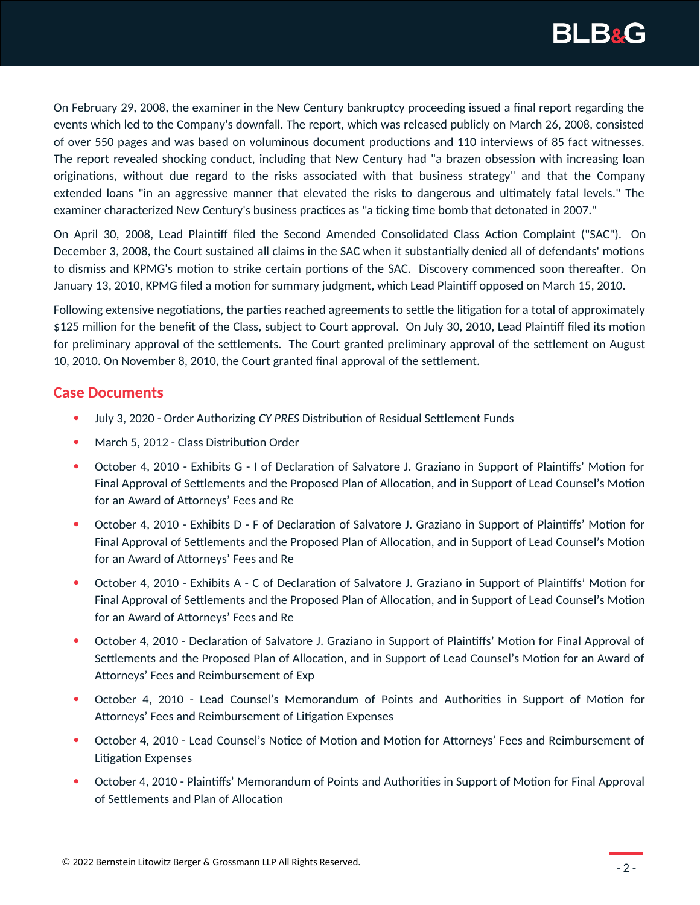

On February 29, 2008, the examiner in the New Century bankruptcy proceeding issued a final report regarding the events which led to the Company's downfall. The report, which was released publicly on March 26, 2008, consisted of over 550 pages and was based on voluminous document productions and 110 interviews of 85 fact witnesses. The report revealed shocking conduct, including that New Century had "a brazen obsession with increasing loan originations, without due regard to the risks associated with that business strategy" and that the Company extended loans "in an aggressive manner that elevated the risks to dangerous and ultimately fatal levels." The examiner characterized New Century's business practices as "a ticking time bomb that detonated in 2007."

On April 30, 2008, Lead Plaintiff filed the Second Amended Consolidated Class Action Complaint ("SAC"). On December 3, 2008, the Court sustained all claims in the SAC when it substantially denied all of defendants' motions to dismiss and KPMG's motion to strike certain portions of the SAC. Discovery commenced soon thereafter. On January 13, 2010, KPMG filed a motion for summary judgment, which Lead Plaintiff opposed on March 15, 2010.

Following extensive negotiations, the parties reached agreements to settle the litigation for a total of approximately \$125 million for the benefit of the Class, subject to Court approval. On July 30, 2010, Lead Plaintiff filed its motion for preliminary approval of the settlements. The Court granted preliminary approval of the settlement on August 10, 2010. On November 8, 2010, the Court granted final approval of the settlement.

## **Case Documents**

- July 3, 2020 Order Authorizing *CY PRES* Distribution of Residual Settlement Funds
- March 5, 2012 Class Distribution Order
- October 4, 2010 Exhibits G I of Declaration of Salvatore J. Graziano in Support of Plaintiffs' Motion for Final Approval of Settlements and the Proposed Plan of Allocation, and in Support of Lead Counsel's Motion for an Award of Attorneys' Fees and Re
- October 4, 2010 Exhibits D F of Declaration of Salvatore J. Graziano in Support of Plaintiffs' Motion for Final Approval of Settlements and the Proposed Plan of Allocation, and in Support of Lead Counsel's Motion for an Award of Attorneys' Fees and Re
- October 4, 2010 Exhibits A C of Declaration of Salvatore J. Graziano in Support of Plaintiffs' Motion for Final Approval of Settlements and the Proposed Plan of Allocation, and in Support of Lead Counsel's Motion for an Award of Attorneys' Fees and Re
- October 4, 2010 Declaration of Salvatore J. Graziano in Support of Plaintiffs' Motion for Final Approval of Settlements and the Proposed Plan of Allocation, and in Support of Lead Counsel's Motion for an Award of Attorneys' Fees and Reimbursement of Exp
- October 4, 2010 Lead Counsel's Memorandum of Points and Authorities in Support of Motion for Attorneys' Fees and Reimbursement of Litigation Expenses
- October 4, 2010 Lead Counsel's Notice of Motion and Motion for Attorneys' Fees and Reimbursement of Litigation Expenses
- October 4, 2010 Plaintiffs' Memorandum of Points and Authorities in Support of Motion for Final Approval of Settlements and Plan of Allocation